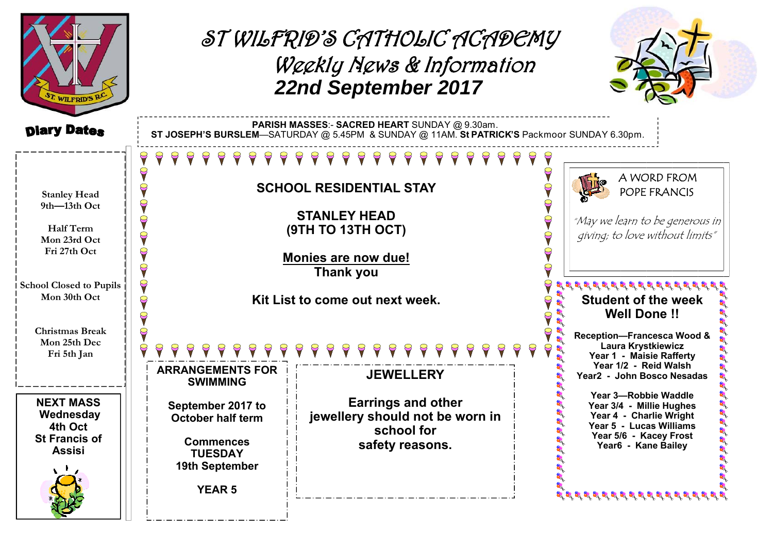| WILFRID'S RA                                                                      |                                                                                                                                              | ST WILFRID'S CATHOLIC ACADEMY<br>Weekly News & Information<br>22nd September 2017             |  |                                                                                                                                                         |
|-----------------------------------------------------------------------------------|----------------------------------------------------------------------------------------------------------------------------------------------|-----------------------------------------------------------------------------------------------|--|---------------------------------------------------------------------------------------------------------------------------------------------------------|
| <b>Diary Dates</b>                                                                | PARISH MASSES:- SACRED HEART SUNDAY @ 9.30am.<br>ST JOSEPH'S BURSLEM-SATURDAY @ 5.45PM & SUNDAY @ 11AM. St PATRICK'S Packmoor SUNDAY 6.30pm. |                                                                                               |  |                                                                                                                                                         |
| <b>Stanley Head</b><br>9th-13th Oct                                               | <b>SCHOOL RESIDENTIAL STAY</b>                                                                                                               |                                                                                               |  | A WORD FROM<br>POPE FRANCIS                                                                                                                             |
| Half Term<br>Mon 23rd Oct<br>Fri 27th Oct                                         | <b>STANLEY HEAD</b><br>(9TH TO 13TH OCT)<br>Monies are now due!<br><b>Thank you</b><br>Kit List to come out next week.                       |                                                                                               |  | "May we learn to be generous in<br>giving; to love without limits"                                                                                      |
| <b>School Closed to Pupils</b><br>Mon 30th Oct<br><b>Christmas Break</b>          |                                                                                                                                              |                                                                                               |  | <b>Student of the week</b><br><b>Well Done!!</b><br>Reception-Francesca Wood &                                                                          |
| Mon 25th Dec<br>Fri 5th Jan                                                       | <b>ARRANGEMENTS FOR</b><br><b>SWIMMING</b>                                                                                                   | <b>JEWELLERY</b>                                                                              |  | Laura Krystkiewicz<br>Year 1 - Maisie Rafferty<br>Year 1/2 - Reid Walsh<br>Year2 - John Bosco Nesadas                                                   |
| <b>NEXT MASS</b><br>Wednesday<br>4th Oct<br><b>St Francis of</b><br><b>Assisi</b> | September 2017 to<br><b>October half term</b><br><b>Commences</b><br><b>TUESDAY</b><br>19th September<br><b>YEAR 5</b>                       | <b>Earrings and other</b><br>jewellery should not be worn in<br>school for<br>safety reasons. |  | Year 3-Robbie Waddle<br>Year 3/4 - Millie Hughes<br>Year 4 - Charlie Wright<br>Year 5 - Lucas Williams<br>Year 5/6 - Kacey Frost<br>Year6 - Kane Bailey |